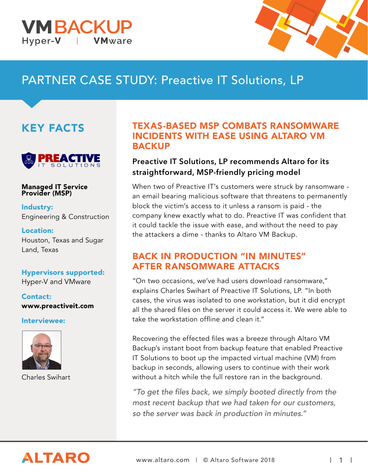



## PARTNER CASE STUDY: Preactive IT Solutions, LP

## KEY FACTS



Managed IT Service Provider (MSP)

Industry: Engineering & Construction

Location: Houston, Texas and Sugar Land, Texas

#### Hypervisors supported: Hyper-V and VMware

Contact: www.preactiveit.com

Interviewee:



Charles Swihart

### TEXAS-BASED MSP COMBATS RANSOMWARE INCIDENTS WITH EASE USING ALTARO VM **BACKUP**

### Preactive IT Solutions, LP recommends Altaro for its straightforward, MSP-friendly pricing model

When two of Preactive IT's customers were struck by ransomware an email bearing malicious software that threatens to permanently block the victim's access to it unless a ransom is paid - the company knew exactly what to do. Preactive IT was confident that it could tackle the issue with ease, and without the need to pay the attackers a dime - thanks to Altaro VM Backup.

### BACK IN PRODUCTION "IN MINUTES" AFTER RANSOMWARE ATTACKS

"On two occasions, we've had users download ransomware," explains Charles Swihart of Preactive IT Solutions, LP. "In both cases, the virus was isolated to one workstation, but it did encrypt all the shared files on the server it could access it. We were able to take the workstation offline and clean it."

Recovering the effected files was a breeze through Altaro VM Backup's instant boot from backup feature that enabled Preactive IT Solutions to boot up the impacted virtual machine (VM) from backup in seconds, allowing users to continue with their work without a hitch while the full restore ran in the background.

"To get the files back, we simply booted directly from the most recent backup that we had taken for our customers, so the server was back in production in minutes."

# **ALTARO**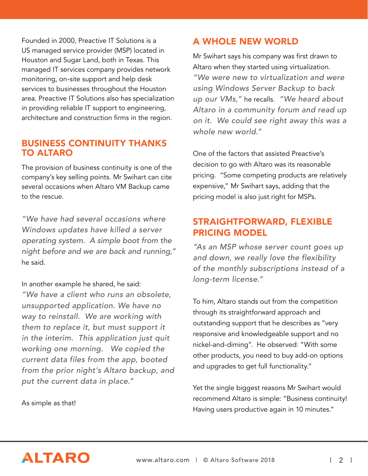Founded in 2000, Preactive IT Solutions is a US managed service provider (MSP) located in Houston and Sugar Land, both in Texas. This managed IT services company provides network monitoring, on-site support and help desk services to businesses throughout the Houston area. Preactive IT Solutions also has specialization in providing reliable IT support to engineering, architecture and construction firms in the region.

### BUSINESS CONTINUITY THANKS TO ALTARO

The provision of business continuity is one of the company's key selling points. Mr Swihart can cite several occasions when Altaro VM Backup came to the rescue.

"We have had several occasions where Windows updates have killed a server operating system. A simple boot from the night before and we are back and running," he said.

In another example he shared, he said: "We have a client who runs an obsolete, unsupported application. We have no way to reinstall. We are working with them to replace it, but must support it in the interim. This application just quit working one morning. We copied the current data files from the app, booted from the prior night's Altaro backup, and put the current data in place."

As simple as that!

### A WHOLE NEW WORLD

Mr Swihart says his company was first drawn to Altaro when they started using virtualization. "We were new to virtualization and were using Windows Server Backup to back up our VMs," he recalls. "We heard about Altaro in a community forum and read up on it. We could see right away this was a whole new world."

One of the factors that assisted Preactive's decision to go with Altaro was its reasonable pricing. "Some competing products are relatively expensive," Mr Swihart says, adding that the pricing model is also just right for MSPs.

### STRAIGHTFORWARD, FLEXIBLE PRICING MODEL

"As an MSP whose server count goes up and down, we really love the flexibility of the monthly subscriptions instead of a long-term license."

To him, Altaro stands out from the competition through its straightforward approach and outstanding support that he describes as "very responsive and knowledgeable support and no nickel-and-diming". He observed: "With some other products, you need to buy add-on options and upgrades to get full functionality."

Yet the single biggest reasons Mr Swihart would recommend Altaro is simple: "Business continuity! Having users productive again in 10 minutes."